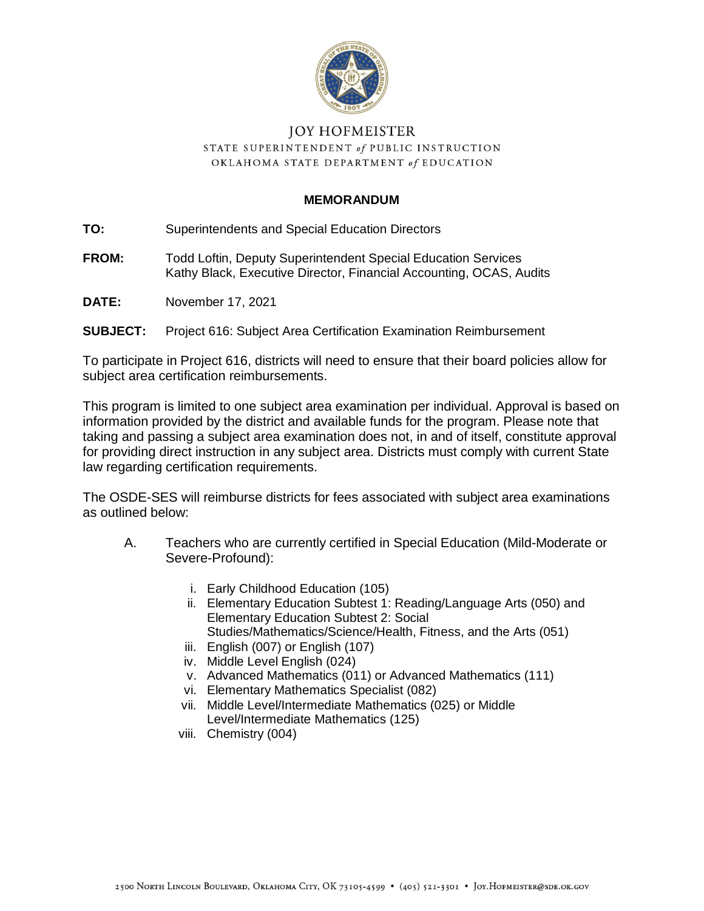

## **JOY HOFMEISTER** STATE SUPERINTENDENT of PUBLIC INSTRUCTION OKLAHOMA STATE DEPARTMENT of EDUCATION

## **MEMORANDUM**

**TO:** Superintendents and Special Education Directors

- **FROM:** Todd Loftin, Deputy Superintendent Special Education Services Kathy Black, Executive Director, Financial Accounting, OCAS, Audits
- **DATE:** November 17, 2021
- **SUBJECT:** Project 616: Subject Area Certification Examination Reimbursement

To participate in Project 616, districts will need to ensure that their board policies allow for subject area certification reimbursements.

This program is limited to one subject area examination per individual. Approval is based on information provided by the district and available funds for the program. Please note that taking and passing a subject area examination does not, in and of itself, constitute approval for providing direct instruction in any subject area. Districts must comply with current State law regarding certification requirements.

The OSDE-SES will reimburse districts for fees associated with subject area examinations as outlined below:

- A. Teachers who are currently certified in Special Education (Mild-Moderate or Severe-Profound):
	- i. Early Childhood Education (105)
	- ii. Elementary Education Subtest 1: Reading/Language Arts (050) and Elementary Education Subtest 2: Social Studies/Mathematics/Science/Health, Fitness, and the Arts (051)
	- iii. English (007) or English (107)
	- iv. Middle Level English (024)
	- v. Advanced Mathematics (011) or Advanced Mathematics (111)
	- vi. Elementary Mathematics Specialist (082)
	- vii. Middle Level/Intermediate Mathematics (025) or Middle Level/Intermediate Mathematics (125)
	- viii. Chemistry (004)